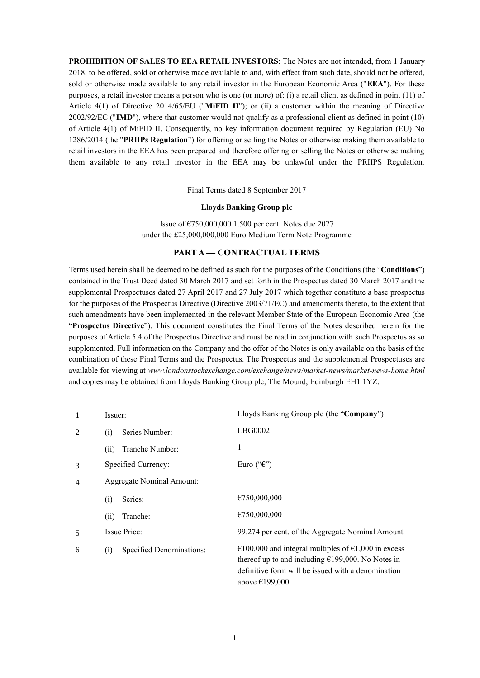**PROHIBITION OF SALES TO EEA RETAIL INVESTORS**: The Notes are not intended, from 1 January 2018, to be offered, sold or otherwise made available to and, with effect from such date, should not be offered, sold or otherwise made available to any retail investor in the European Economic Area ("**EEA**"). For these purposes, a retail investor means a person who is one (or more) of: (i) a retail client as defined in point (11) of Article 4(1) of Directive 2014/65/EU ("**MiFID II**"); or (ii) a customer within the meaning of Directive 2002/92/EC ("**IMD**"), where that customer would not qualify as a professional client as defined in point (10) of Article 4(1) of MiFID II. Consequently, no key information document required by Regulation (EU) No 1286/2014 (the "**PRIIPs Regulation**") for offering or selling the Notes or otherwise making them available to retail investors in the EEA has been prepared and therefore offering or selling the Notes or otherwise making them available to any retail investor in the EEA may be unlawful under the PRIIPS Regulation.

Final Terms dated 8 September 2017

## **Lloyds Banking Group plc**

Issue of €750,000,000 1.500 per cent. Notes due 2027 under the £25,000,000,000 Euro Medium Term Note Programme

## **PART A — CONTRACTUAL TERMS**

Terms used herein shall be deemed to be defined as such for the purposes of the Conditions (the "**Conditions**") contained in the Trust Deed dated 30 March 2017 and set forth in the Prospectus dated 30 March 2017 and the supplemental Prospectuses dated 27 April 2017 and 27 July 2017 which together constitute a base prospectus for the purposes of the Prospectus Directive (Directive 2003/71/EC) and amendments thereto, to the extent that such amendments have been implemented in the relevant Member State of the European Economic Area (the "**Prospectus Directive**"). This document constitutes the Final Terms of the Notes described herein for the purposes of Article 5.4 of the Prospectus Directive and must be read in conjunction with such Prospectus as so supplemented. Full information on the Company and the offer of the Notes is only available on the basis of the combination of these Final Terms and the Prospectus. The Prospectus and the supplemental Prospectuses are available for viewing at *www.londonstockexchange.com/exchange/news/market-news/market-news-home.html* and copies may be obtained from Lloyds Banking Group plc, The Mound, Edinburgh EH1 1YZ.

| 1              | Issuer:                          | Lloyds Banking Group plc (the "Company")                                                                                                                                                     |
|----------------|----------------------------------|----------------------------------------------------------------------------------------------------------------------------------------------------------------------------------------------|
| 2              | Series Number:<br>(i)            | LBG0002                                                                                                                                                                                      |
|                | Tranche Number:<br>(ii)          | 1                                                                                                                                                                                            |
| 3              | Specified Currency:              | Euro (" $\epsilon$ ")                                                                                                                                                                        |
| $\overline{4}$ | <b>Aggregate Nominal Amount:</b> |                                                                                                                                                                                              |
|                | Series:<br>(i)                   | €750,000,000                                                                                                                                                                                 |
|                | Tranche:<br>(i)                  | €750,000,000                                                                                                                                                                                 |
| 5              | <b>Issue Price:</b>              | 99.274 per cent. of the Aggregate Nominal Amount                                                                                                                                             |
| 6              | Specified Denominations:<br>(i)  | €100,000 and integral multiples of €1,000 in excess<br>thereof up to and including $\epsilon$ 199,000. No Notes in<br>definitive form will be issued with a denomination<br>above $£199,000$ |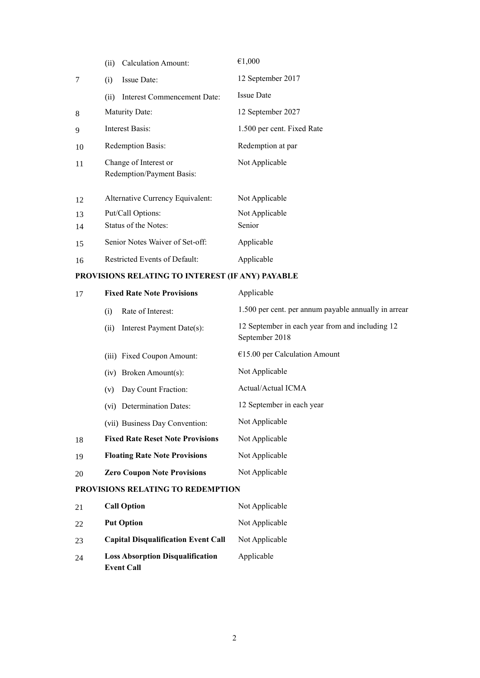|    | <b>Calculation Amount:</b><br>(ii)                 | €1,000                     |
|----|----------------------------------------------------|----------------------------|
| 7  | Issue Date:<br>(i)                                 | 12 September 2017          |
|    | Interest Commencement Date:<br>(ii)                | <b>Issue Date</b>          |
| 8  | <b>Maturity Date:</b>                              | 12 September 2027          |
| 9  | Interest Basis:                                    | 1.500 per cent. Fixed Rate |
| 10 | Redemption Basis:                                  | Redemption at par          |
| 11 | Change of Interest or<br>Redemption/Payment Basis: | Not Applicable             |
| 12 | Alternative Currency Equivalent:                   | Not Applicable             |
| 13 | Put/Call Options:                                  | Not Applicable             |
| 14 | Status of the Notes:                               | Senior                     |
| 15 | Senior Notes Waiver of Set-off:                    | Applicable                 |
| 16 | Restricted Events of Default:                      | Applicable                 |

## **PROVISIONS RELATING TO INTEREST (IF ANY) PAYABLE**

| 17                                | <b>Fixed Rate Note Provisions</b>       | Applicable                                                        |  |
|-----------------------------------|-----------------------------------------|-------------------------------------------------------------------|--|
|                                   | Rate of Interest:<br>(i)                | 1.500 per cent. per annum payable annually in arrear              |  |
|                                   | Interest Payment Date(s):<br>(ii)       | 12 September in each year from and including 12<br>September 2018 |  |
|                                   | (iii) Fixed Coupon Amount:              | $€15.00$ per Calculation Amount                                   |  |
|                                   | (iv) Broken Amount(s):                  | Not Applicable                                                    |  |
|                                   | Day Count Fraction:<br>(v)              | Actual/Actual ICMA                                                |  |
|                                   | (vi) Determination Dates:               | 12 September in each year                                         |  |
|                                   | (vii) Business Day Convention:          | Not Applicable                                                    |  |
| 18                                | <b>Fixed Rate Reset Note Provisions</b> | Not Applicable                                                    |  |
| 19                                | <b>Floating Rate Note Provisions</b>    | Not Applicable                                                    |  |
| 20                                | <b>Zero Coupon Note Provisions</b>      | Not Applicable                                                    |  |
| PROVISIONS RELATING TO REDEMPTION |                                         |                                                                   |  |
| 21                                | <b>Call Option</b>                      | Not Applicable                                                    |  |
| 22                                | <b>Put Option</b>                       | Not Applicable                                                    |  |

- 23 **Capital Disqualification Event Call** Not Applicable
- 24 **Loss Absorption Disqualification Event Call** Applicable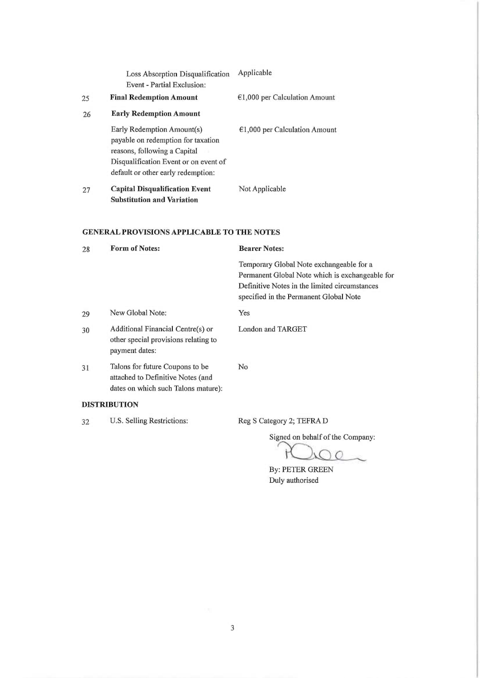|                                                   | Loss Absorption Disqualification<br>Event - Partial Exclusion:                                                                                                                  | Applicable                                                                                  |
|---------------------------------------------------|---------------------------------------------------------------------------------------------------------------------------------------------------------------------------------|---------------------------------------------------------------------------------------------|
| 25                                                | <b>Final Redemption Amount</b>                                                                                                                                                  | $€1,000$ per Calculation Amount                                                             |
| 26                                                | <b>Early Redemption Amount</b>                                                                                                                                                  |                                                                                             |
|                                                   | Early Redemption Amount(s)<br>payable on redemption for taxation<br>reasons, following a Capital<br>Disqualification Event or on event of<br>default or other early redemption: | $€1,000$ per Calculation Amount                                                             |
| 27                                                | <b>Capital Disqualification Event</b><br><b>Substitution and Variation</b>                                                                                                      | Not Applicable                                                                              |
| <b>GENERAL PROVISIONS APPLICABLE TO THE NOTES</b> |                                                                                                                                                                                 |                                                                                             |
| 28                                                | <b>Form of Notes:</b>                                                                                                                                                           | <b>Bearer Notes:</b>                                                                        |
|                                                   |                                                                                                                                                                                 | Temporary Global Note exchangeable for a<br>Permanent Global Note which is exchangeable for |
|                                                   |                                                                                                                                                                                 | Definitive Notes in the limited circumstances<br>specified in the Permanent Global Note     |
| 29                                                | New Global Note:                                                                                                                                                                | Yes                                                                                         |
| 30                                                | Additional Financial Centre(s) or<br>other special provisions relating to<br>payment dates:                                                                                     | <b>London and TARGET</b>                                                                    |
| 31                                                | Talons for future Coupons to be<br>attached to Definitive Notes (and<br>dates on which such Talons mature):                                                                     | No                                                                                          |
|                                                   | <b>DISTRIBUTION</b>                                                                                                                                                             |                                                                                             |
| 32                                                | U.S. Selling Restrictions:                                                                                                                                                      | Reg S Category 2; TEFRA D                                                                   |

 $\dagger$  $\subset$ 

By: PETER GREEN<br>Duly authorised